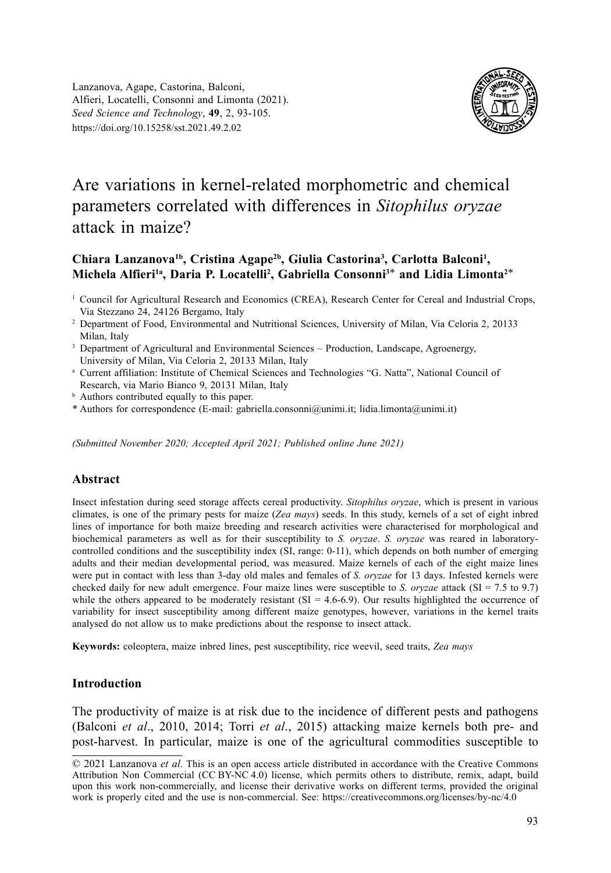Lanzanova, Agape, Castorina, Balconi, Alfieri, Locatelli, Consonni and Limonta (2021). *Seed Science and Technology*, **49**, 2, 93-105. https://doi.org/10.15258/sst.2021.49.2.02



# Are variations in kernel-related morphometric and chemical parameters correlated with differences in *Sitophilus oryzae* attack in maize?

# Chiara Lanzanova<sup>1b</sup>, Cristina Agape<sup>2b</sup>, Giulia Castorina<sup>3</sup>, Carlotta Balconi<sup>1</sup>, **Michela Alfieri1a, Daria P. Locatelli2 , Gabriella Consonni3**\* **and Lidia Limonta2**\*

- <sup>1</sup> Council for Agricultural Research and Economics (CREA), Research Center for Cereal and Industrial Crops, Via Stezzano 24, 24126 Bergamo, Italy
- 2 Department of Food, Environmental and Nutritional Sciences, University of Milan, Via Celoria 2, 20133 Milan, Italy
- <sup>3</sup> Department of Agricultural and Environmental Sciences Production, Landscape, Agroenergy, University of Milan, Via Celoria 2, 20133 Milan, Italy
- <sup>a</sup> Current affiliation: Institute of Chemical Sciences and Technologies "G. Natta", National Council of Research, via Mario Bianco 9, 20131 Milan, Italy
- **b** Authors contributed equally to this paper.
- \* Authors for correspondence (E-mail: gabriella.consonni@unimi.it; lidia.limonta@unimi.it)

*(Submitted November 2020; Accepted April 2021; Published online June 2021)*

#### **Abstract**

Insect infestation during seed storage affects cereal productivity. *Sitophilus oryzae*, which is present in various climates, is one of the primary pests for maize (*Zea mays*) seeds. In this study, kernels of a set of eight inbred lines of importance for both maize breeding and research activities were characterised for morphological and biochemical parameters as well as for their susceptibility to *S. oryzae*. *S. oryzae* was reared in laboratorycontrolled conditions and the susceptibility index (SI, range: 0-11), which depends on both number of emerging adults and their median developmental period, was measured. Maize kernels of each of the eight maize lines were put in contact with less than 3-day old males and females of *S. oryzae* for 13 days. Infested kernels were checked daily for new adult emergence. Four maize lines were susceptible to *S. oryzae* attack (SI = 7.5 to 9.7) while the others appeared to be moderately resistant  $(SI = 4.6-6.9)$ . Our results highlighted the occurrence of variability for insect susceptibility among different maize genotypes, however, variations in the kernel traits analysed do not allow us to make predictions about the response to insect attack.

**Keywords:** coleoptera, maize inbred lines, pest susceptibility, rice weevil, seed traits, *Zea mays*

## **Introduction**

The productivity of maize is at risk due to the incidence of different pests and pathogens (Balconi *et al*., 2010, 2014; Torri *et al*., 2015) attacking maize kernels both pre- and post-harvest. In particular, maize is one of the agricultural commodities susceptible to

<sup>© 2021</sup> Lanzanova *et al.* This is an open access article distributed in accordance with the Creative Commons Attribution Non Commercial (CC BY-NC 4.0) license, which permits others to distribute, remix, adapt, build upon this work non-commercially, and license their derivative works on different terms, provided the original work is properly cited and the use is non-commercial. See: https://creativecommons.org/licenses/by-nc/4.0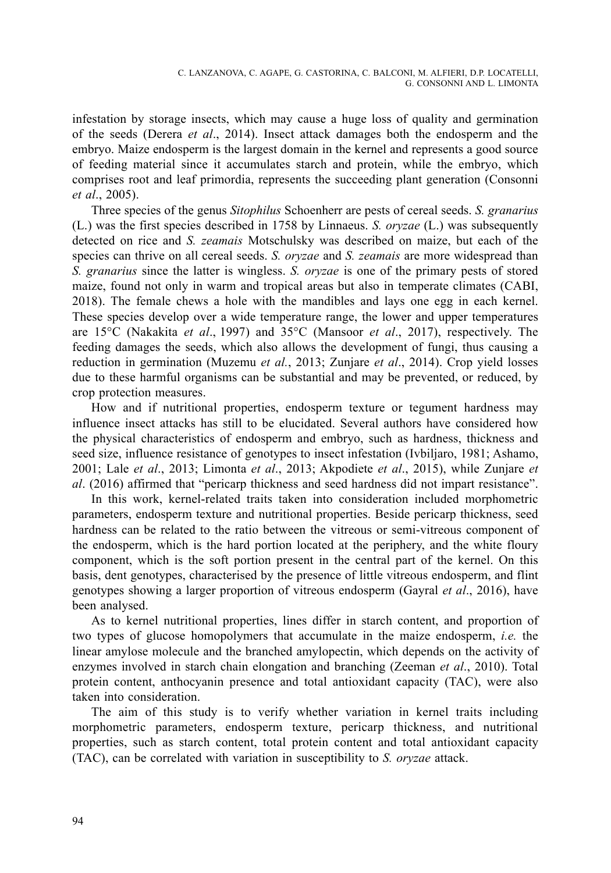infestation by storage insects, which may cause a huge loss of quality and germination of the seeds (Derera *et al*., 2014). Insect attack damages both the endosperm and the embryo. Maize endosperm is the largest domain in the kernel and represents a good source of feeding material since it accumulates starch and protein, while the embryo, which comprises root and leaf primordia, represents the succeeding plant generation (Consonni *et al*., 2005).

Three species of the genus *Sitophilus* Schoenherr are pests of cereal seeds. *S. granarius* (L.) was the first species described in 1758 by Linnaeus. *S. oryzae* (L.) was subsequently detected on rice and *S. zeamais* Motschulsky was described on maize, but each of the species can thrive on all cereal seeds. *S. oryzae* and *S. zeamais* are more widespread than *S. granarius* since the latter is wingless. *S. oryzae* is one of the primary pests of stored maize, found not only in warm and tropical areas but also in temperate climates (CABI, 2018). The female chews a hole with the mandibles and lays one egg in each kernel. These species develop over a wide temperature range, the lower and upper temperatures are 15°C (Nakakita *et al*., 1997) and 35°C (Mansoor *et al*., 2017), respectively. The feeding damages the seeds, which also allows the development of fungi, thus causing a reduction in germination (Muzemu *et al.*, 2013; Zunjare *et al*., 2014). Crop yield losses due to these harmful organisms can be substantial and may be prevented, or reduced, by crop protection measures.

How and if nutritional properties, endosperm texture or tegument hardness may influence insect attacks has still to be elucidated. Several authors have considered how the physical characteristics of endosperm and embryo, such as hardness, thickness and seed size, influence resistance of genotypes to insect infestation (Ivbiljaro, 1981; Ashamo, 2001; Lale *et al*., 2013; Limonta *et al*., 2013; Akpodiete *et al*., 2015), while Zunjare *et al*. (2016) affirmed that "pericarp thickness and seed hardness did not impart resistance".

In this work, kernel-related traits taken into consideration included morphometric parameters, endosperm texture and nutritional properties. Beside pericarp thickness, seed hardness can be related to the ratio between the vitreous or semi-vitreous component of the endosperm, which is the hard portion located at the periphery, and the white floury component, which is the soft portion present in the central part of the kernel. On this basis, dent genotypes, characterised by the presence of little vitreous endosperm, and flint genotypes showing a larger proportion of vitreous endosperm (Gayral *et al*., 2016), have been analysed.

As to kernel nutritional properties, lines differ in starch content, and proportion of two types of glucose homopolymers that accumulate in the maize endosperm, *i.e.* the linear amylose molecule and the branched amylopectin, which depends on the activity of enzymes involved in starch chain elongation and branching (Zeeman *et al*., 2010). Total protein content, anthocyanin presence and total antioxidant capacity (TAC), were also taken into consideration.

The aim of this study is to verify whether variation in kernel traits including morphometric parameters, endosperm texture, pericarp thickness, and nutritional properties, such as starch content, total protein content and total antioxidant capacity (TAC), can be correlated with variation in susceptibility to *S. oryzae* attack.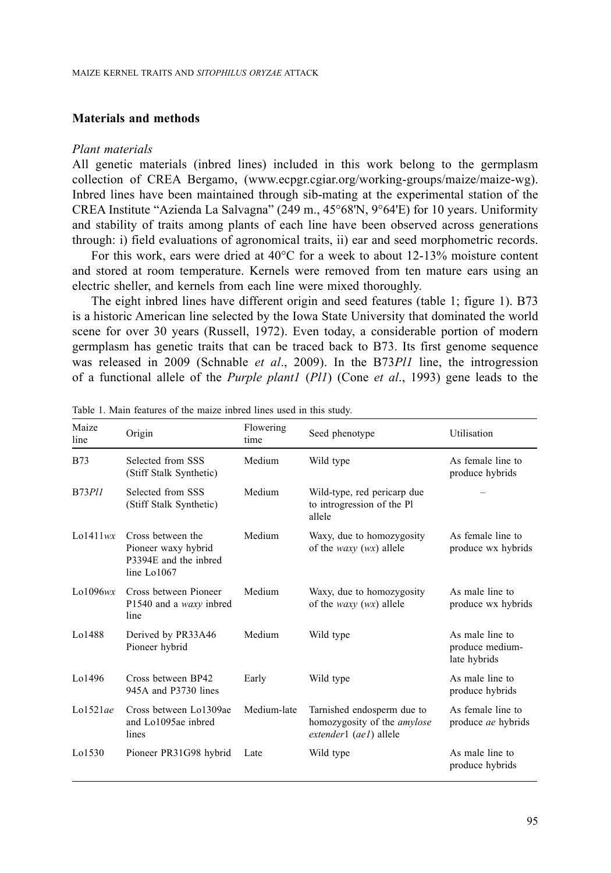# **Materials and methods**

#### *Plant materials*

All genetic materials (inbred lines) included in this work belong to the germplasm collection of CREA Bergamo, ([www.ecpgr.cgiar.org/working-groups/maize/maize-wg\)](http://www.ecpgr.cgiar.org/working-groups/maize). Inbred lines have been maintained through sib-mating at the experimental station of the CREA Institute "Azienda La Salvagna" (249 m., 45°68'N, 9°64'E) for 10 years. Uniformity and stability of traits among plants of each line have been observed across generations through: i) field evaluations of agronomical traits, ii) ear and seed morphometric records.

For this work, ears were dried at 40°C for a week to about 12-13% moisture content and stored at room temperature. Kernels were removed from ten mature ears using an electric sheller, and kernels from each line were mixed thoroughly.

The eight inbred lines have different origin and seed features (table 1; figure 1). B73 is a historic American line selected by the Iowa State University that dominated the world scene for over 30 years (Russell, 1972). Even today, a considerable portion of modern germplasm has genetic traits that can be traced back to B73. Its first genome sequence was released in 2009 (Schnable *et al*., 2009). In the B73*Pl1* line, the introgression of a functional allele of the *Purple plant1* (*Pl1*) (Cone *et al*., 1993) gene leads to the

| Maize<br>line   | Origin                                                                           | Flowering<br>time | Seed phenotype                                                                             | Utilisation                                        |
|-----------------|----------------------------------------------------------------------------------|-------------------|--------------------------------------------------------------------------------------------|----------------------------------------------------|
| <b>B73</b>      | Selected from SSS<br>(Stiff Stalk Synthetic)                                     | Medium            | Wild type                                                                                  | As female line to<br>produce hybrids               |
| $B73$ $Pl1$     | Selected from SSS<br>(Stiff Stalk Synthetic)                                     | Medium            | Wild-type, red pericarp due<br>to introgression of the Pl<br>allele                        |                                                    |
| $L$ o $1411$ wx | Cross between the<br>Pioneer waxy hybrid<br>P3394E and the inbred<br>line Lo1067 | Medium            | Waxy, due to homozygosity<br>of the <i>waxy</i> $(wx)$ allele                              | As female line to<br>produce wx hybrids            |
| Lo1096wx        | Cross between Pioneer<br>P1540 and a <i>waxy</i> inbred<br>line                  | Medium            | Waxy, due to homozygosity<br>of the <i>waxy</i> $(wx)$ allele                              | As male line to<br>produce wx hybrids              |
| Lo1488          | Derived by PR33A46<br>Pioneer hybrid                                             | Medium            | Wild type                                                                                  | As male line to<br>produce medium-<br>late hybrids |
| Lo1496          | Cross between BP42<br>945A and P3730 lines                                       | Early             | Wild type                                                                                  | As male line to<br>produce hybrids                 |
| $L_0$ 1521 $ae$ | Cross between Lo1309ae<br>and Lo1095ae inbred<br>lines                           | Medium-late       | Tarnished endosperm due to<br>homozygosity of the <i>amylose</i><br>extender1 (ae1) allele | As female line to<br>produce <i>ae</i> hybrids     |
| Lo1530          | Pioneer PR31G98 hybrid                                                           | Late              | Wild type                                                                                  | As male line to<br>produce hybrids                 |

Table 1. Main features of the maize inbred lines used in this study.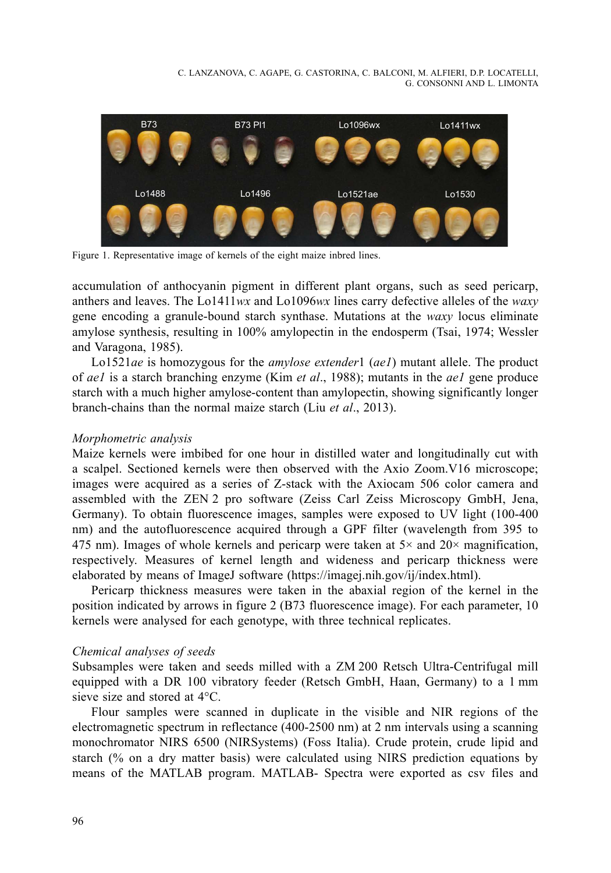C. LANZANOVA, C. AGAPE, G. CASTORINA, C. BALCONI, M. ALFIERI, D.P. LOCATELLI, G. CONSONNI AND L. LIMONTA



Figure 1. Representative image of kernels of the eight maize inbred lines.

accumulation of anthocyanin pigment in different plant organs, such as seed pericarp, anthers and leaves. The Lo1411*wx* and Lo1096*wx* lines carry defective alleles of the *waxy*  $\frac{1}{2}$ gene encoding a granule-bound starch synthase. Mutations at the *waxy* locus eliminate amylose synthesis, resulting in 100% amylopectin in the endosperm (Tsai, 1974; Wessler and Varagona, 1985).

Lo1521*ae* is homozygous for the *amylose extender*1 (*ae1*) mutant allele. The product of *ae1* is a starch branching enzyme (Kim *et al*., 1988); mutants in the *ae1* gene produce starch with a much higher amylose-content than amylopectin, showing significantly longer branch-chains than the normal maize starch (Liu *et al*., 2013).

#### *Morphometric analysis*

Maize kernels were imbibed for one hour in distilled water and longitudinally cut with a scalpel. Sectioned kernels were then observed with the Axio Zoom.V16 microscope; images were acquired as a series of Z-stack with the Axiocam 506 color camera and assembled with the ZEN 2 pro software (Zeiss Carl Zeiss Microscopy GmbH, Jena, Germany). To obtain fluorescence images, samples were exposed to UV light (100-400 nm) and the autofluorescence acquired through a GPF filter (wavelength from 395 to 475 nm). Images of whole kernels and pericarp were taken at  $5\times$  and  $20\times$  magnification, respectively. Measures of kernel length and wideness and pericarp thickness were elaborated by means of ImageJ software ([https://imagej.nih.gov/ij/index.html\)](https://imagej.nih.gov/ij/index.html).

Pericarp thickness measures were taken in the abaxial region of the kernel in the position indicated by arrows in figure 2 (B73 fluorescence image). For each parameter, 10 kernels were analysed for each genotype, with three technical replicates.

#### *Chemical analyses of seeds*

Subsamples were taken and seeds milled with a ZM 200 Retsch Ultra-Centrifugal mill equipped with a DR 100 vibratory feeder (Retsch GmbH, Haan, Germany) to a 1 mm sieve size and stored at 4°C.

Flour samples were scanned in duplicate in the visible and NIR regions of the electromagnetic spectrum in reflectance (400-2500 nm) at 2 nm intervals using a scanning monochromator NIRS 6500 (NIRSystems) (Foss Italia). Crude protein, crude lipid and starch (% on a dry matter basis) were calculated using NIRS prediction equations by means of the MATLAB program. MATLAB- Spectra were exported as csv files and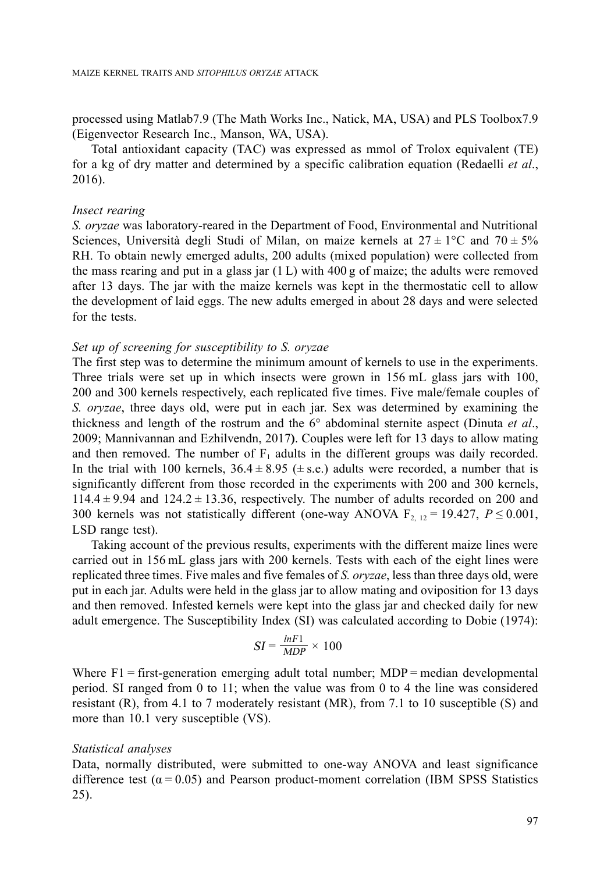processed using Matlab7.9 (The Math Works Inc., Natick, MA, USA) and PLS Toolbox7.9 (Eigenvector Research Inc., Manson, WA, USA).

Total antioxidant capacity (TAC) was expressed as mmol of Trolox equivalent (TE) for a kg of dry matter and determined by a specific calibration equation (Redaelli *et al*., 2016).

## *Insect rearing*

*S. oryzae* was laboratory-reared in the Department of Food, Environmental and Nutritional Sciences, Università degli Studi of Milan, on maize kernels at  $27 \pm 1^{\circ}$ C and  $70 \pm 5\%$ RH. To obtain newly emerged adults, 200 adults (mixed population) were collected from the mass rearing and put in a glass jar  $(1 L)$  with 400 g of maize; the adults were removed after 13 days. The jar with the maize kernels was kept in the thermostatic cell to allow the development of laid eggs. The new adults emerged in about 28 days and were selected for the tests.

## *Set up of screening for susceptibility to S. oryzae*

The first step was to determine the minimum amount of kernels to use in the experiments. Three trials were set up in which insects were grown in 156 mL glass jars with 100, 200 and 300 kernels respectively, each replicated five times. Five male/female couples of *S. oryzae*, three days old, were put in each jar. Sex was determined by examining the thickness and length of the rostrum and the 6° abdominal sternite aspect (Dinuta *et al*., 2009; Mannivannan and Ezhilvendn, 2017**)**. Couples were left for 13 days to allow mating and then removed. The number of  $F_1$  adults in the different groups was daily recorded. In the trial with 100 kernels,  $36.4 \pm 8.95 \ (\pm \text{s.e.})$  adults were recorded, a number that is significantly different from those recorded in the experiments with 200 and 300 kernels,  $114.4 \pm 9.94$  and  $124.2 \pm 13.36$ , respectively. The number of adults recorded on 200 and 300 kernels was not statistically different (one-way ANOVA  $F_{2, 12} = 19.427$ ,  $P \le 0.001$ , LSD range test).

Taking account of the previous results, experiments with the different maize lines were carried out in 156 mL glass jars with 200 kernels. Tests with each of the eight lines were replicated three times. Five males and five females of *S. oryzae*, less than three days old, were put in each jar. Adults were held in the glass jar to allow mating and oviposition for 13 days and then removed. Infested kernels were kept into the glass jar and checked daily for new adult emergence. The Susceptibility Index (SI) was calculated according to Dobie (1974):

$$
SI = \frac{lnF1}{MDP} \times 100
$$

Where  $F1 =$  first-generation emerging adult total number; MDP = median developmental period. SI ranged from 0 to 11; when the value was from 0 to 4 the line was considered resistant (R), from 4.1 to 7 moderately resistant (MR), from 7.1 to 10 susceptible (S) and more than 10.1 very susceptible (VS).

#### *Statistical analyses*

Data, normally distributed, were submitted to one-way ANOVA and least significance difference test ( $\alpha$  = 0.05) and Pearson product-moment correlation (IBM SPSS Statistics 25).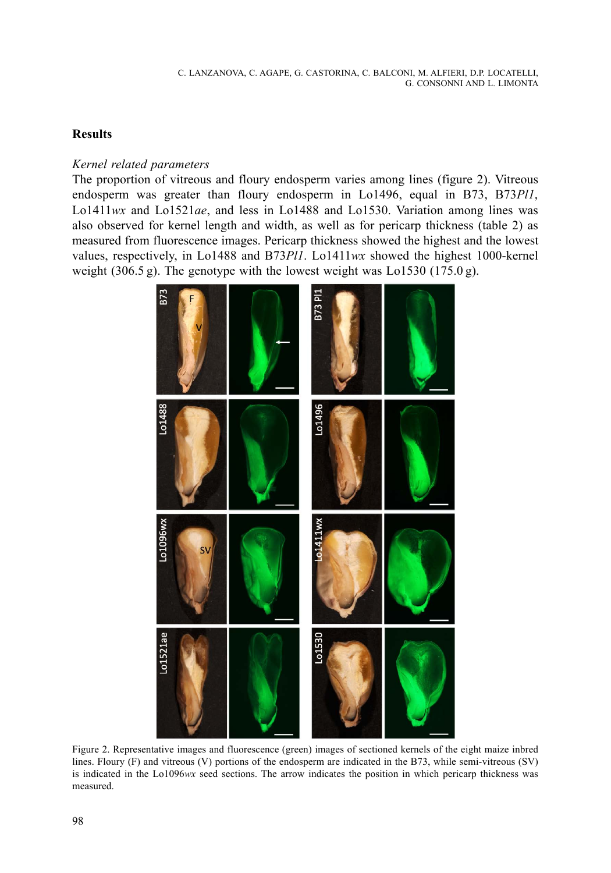# **Results**

# *Kernel related parameters*

The proportion of vitreous and floury endosperm varies among lines (figure 2). Vitreous endosperm was greater than floury endosperm in Lo1496, equal in B73, B73*Pl1*, Lo1411*wx* and Lo1521*ae*, and less in Lo1488 and Lo1530. Variation among lines was also observed for kernel length and width, as well as for pericarp thickness (table 2) as measured from fluorescence images. Pericarp thickness showed the highest and the lowest values, respectively, in Lo1488 and B73*Pl1*. Lo1411*wx* showed the highest 1000-kernel weight (306.5 g). The genotype with the lowest weight was Lo1530 (175.0 g).



Figure 2. Representative images and fluorescence (green) images of sectioned kernels of the eight maize inbred lines. Floury (F) and vitreous (V) portions of the endosperm are indicated in the B73, while semi-vitreous (SV) is indicated in the Lo1096*wx* seed sections. The arrow indicates the position in which pericarp thickness was measured.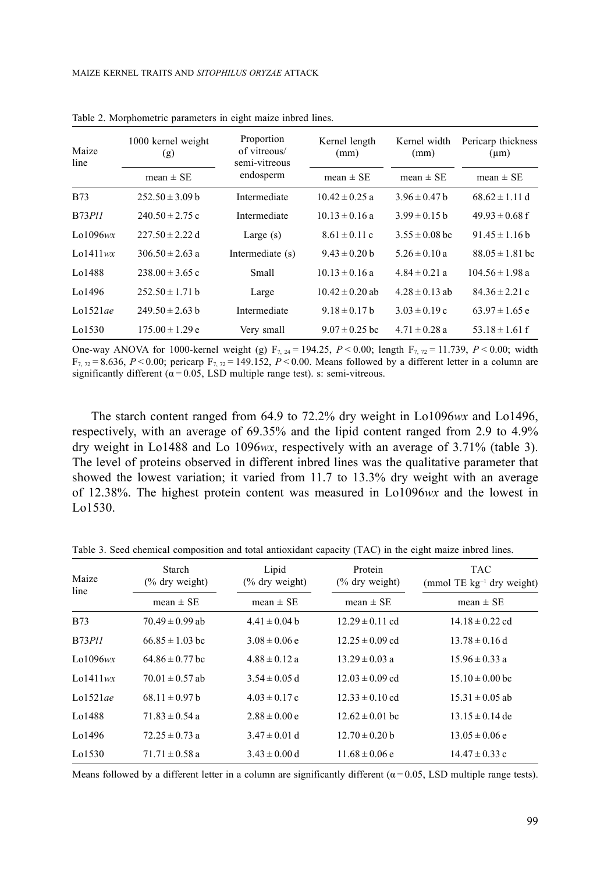| Maize<br>line   | 1000 kernel weight<br>(g) | Proportion<br>of vitreous/<br>semi-vitreous<br>endosperm | Kernel length<br>(mm) | Kernel width<br>(mm) | Pericarp thickness<br>$(\mu m)$ |
|-----------------|---------------------------|----------------------------------------------------------|-----------------------|----------------------|---------------------------------|
|                 | $mean \pm SE$             |                                                          | mean $\pm$ SE         | mean $\pm$ SE        | mean $\pm$ SE                   |
| <b>B73</b>      | $252.50 \pm 3.09$ b       | Intermediate                                             | $10.42 \pm 0.25$ a    | $3.96 \pm 0.47$ b    | $68.62 \pm 1.11$ d              |
| $B73$ $Pl1$     | $240.50 \pm 2.75$ c       | Intermediate                                             | $10.13 \pm 0.16$ a    | $3.99 \pm 0.15$ h    | $49.93 \pm 0.68$ f              |
| Lo1096 $wx$     | $227.50 \pm 2.22$ d       | Large $(s)$                                              | $8.61 \pm 0.11$ c     | $3.55 \pm 0.08$ bc   | $91.45 \pm 1.16$ b              |
| $L_0$ 1411 $wx$ | $306.50 \pm 2.63$ a       | Intermediate (s)                                         | $9.43 \pm 0.20$ b     | $5.26 \pm 0.10$ a    | $88.05 \pm 1.81$ bc             |
| Lo1488          | $238.00 \pm 3.65$ c       | Small                                                    | $10.13 \pm 0.16$ a    | $4.84 \pm 0.21$ a    | $104.56 \pm 1.98$ a             |
| Lo1496          | $252.50 \pm 1.71$ b       | Large                                                    | $10.42 \pm 0.20$ ab   | $4.28 \pm 0.13$ ab   | $84.36 \pm 2.21$ c              |
| Lo $1521$ ae    | $249.50 \pm 2.63$ b       | Intermediate                                             | $9.18 \pm 0.17$ h     | $3.03 \pm 0.19$ c    | $63.97 \pm 1.65$ e              |
| Lo1530          | $175.00 \pm 1.29 e$       | Very small                                               | $9.07 \pm 0.25$ bc    | $4.71 \pm 0.28$ a    | 53.18 $\pm$ 1.61 f              |

Table 2. Morphometric parameters in eight maize inbred lines.

One-way ANOVA for 1000-kernel weight (g)  $F_{7, 24} = 194.25$ ,  $P < 0.00$ ; length  $F_{7, 22} = 11.739$ ,  $P < 0.00$ ; width  $F_{7,72} = 8.636$ ,  $P < 0.00$ ; pericarp  $F_{7,72} = 149.152$ ,  $P < 0.00$ . Means followed by a different letter in a column are significantly different ( $\alpha$  = 0.05, LSD multiple range test). s: semi-vitreous.

The starch content ranged from 64.9 to 72.2% dry weight in Lo1096*wx* and Lo1496, respectively, with an average of 69.35% and the lipid content ranged from 2.9 to 4.9% dry weight in Lo1488 and Lo 1096*wx*, respectively with an average of 3.71% (table 3). The level of proteins observed in different inbred lines was the qualitative parameter that showed the lowest variation; it varied from 11.7 to 13.3% dry weight with an average of 12.38%. The highest protein content was measured in Lo1096*wx* and the lowest in Lo1530.

| Maize<br>line   | Starch<br>$\frac{6}{6}$ dry weight) | Lipid<br>$(\%$ dry weight) | Protein<br>$\frac{6}{6}$ dry weight) | <b>TAC</b><br>(mmol TE $kg^{-1}$ dry weight) |  |
|-----------------|-------------------------------------|----------------------------|--------------------------------------|----------------------------------------------|--|
|                 | mean $\pm$ SE                       | mean $\pm$ SE              | mean $\pm$ SE                        | mean $\pm$ SE                                |  |
| <b>B73</b>      | $70.49 \pm 0.99$ ab                 | $4.41 \pm 0.04$ b          | $12.29 \pm 0.11$ cd                  | $14.18 \pm 0.22$ cd                          |  |
| <b>B73P11</b>   | $66.85 \pm 1.03$ bc                 | $3.08 \pm 0.06$ e          | $12.25 \pm 0.09$ cd                  | $13.78 \pm 0.16$ d                           |  |
| Lo $1096wx$     | $64.86 \pm 0.77$ bc                 | $4.88 \pm 0.12$ a          | $13.29 \pm 0.03$ a                   | $15.96 \pm 0.33$ a                           |  |
| $L_0$ 1411 $wx$ | $70.01 \pm 0.57$ ab                 | $3.54 \pm 0.05$ d          | $12.03 \pm 0.09$ cd                  | $15.10 \pm 0.00$ bc                          |  |
| Lo $152$ lae    | $68.11 \pm 0.97$ b                  | $4.03 \pm 0.17$ c          | $12.33 \pm 0.10$ cd                  | $15.31 \pm 0.05$ ab                          |  |
| Lo1488          | $71.83 \pm 0.54$ a                  | $2.88 \pm 0.00 e$          | $12.62 \pm 0.01$ bc                  | $13.15 \pm 0.14$ de                          |  |
| Lo1496          | $72.25 \pm 0.73$ a                  | $3.47 \pm 0.01$ d          | $12.70 \pm 0.20$ b                   | $13.05 \pm 0.06$ e                           |  |
| Lo1530          | $71.71 \pm 0.58$ a                  | $3.43 \pm 0.00$ d          | $11.68 \pm 0.06$ e                   | $14.47 \pm 0.33$ c                           |  |

Table 3. Seed chemical composition and total antioxidant capacity (TAC) in the eight maize inbred lines.

Means followed by a different letter in a column are significantly different  $(\alpha = 0.05,$  LSD multiple range tests).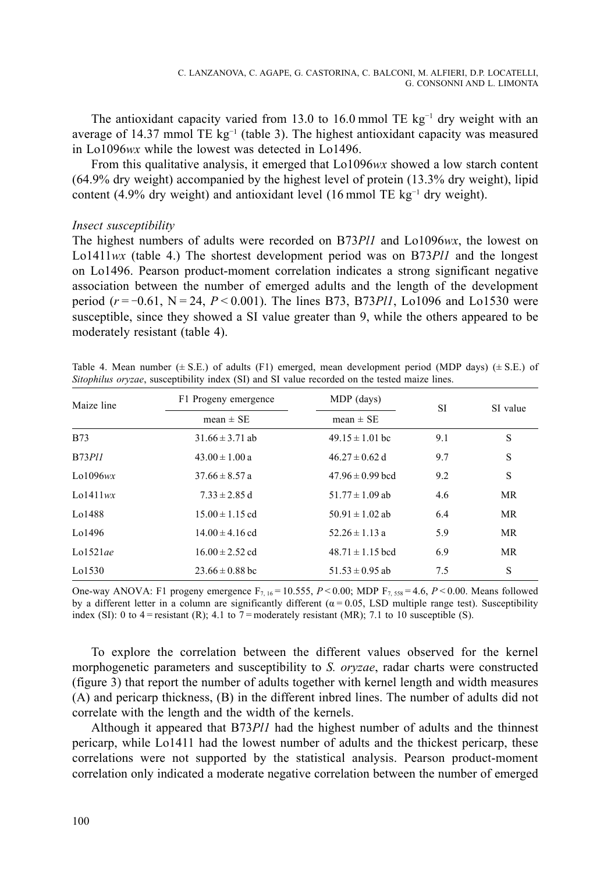The antioxidant capacity varied from 13.0 to 16.0 mmol TE kg<sup>-1</sup> dry weight with an average of 14.37 mmol TE  $kg^{-1}$  (table 3). The highest antioxidant capacity was measured in Lo1096*wx* while the lowest was detected in Lo1496.

From this qualitative analysis, it emerged that Lo1096*wx* showed a low starch content (64.9% dry weight) accompanied by the highest level of protein (13.3% dry weight), lipid content (4.9% dry weight) and antioxidant level (16 mmol TE  $kg^{-1}$  dry weight).

## *Insect susceptibility*

The highest numbers of adults were recorded on B73*Pl1* and Lo1096*wx*, the lowest on Lo1411*wx* (table 4.) The shortest development period was on B73*Pl1* and the longest on Lo1496. Pearson product-moment correlation indicates a strong significant negative association between the number of emerged adults and the length of the development period (*r* = −0.61, N = 24, *P* < 0.001). The lines B73, B73*Pl1*, Lo1096 and Lo1530 were susceptible, since they showed a SI value greater than 9, while the others appeared to be moderately resistant (table 4).

| Maize line      | F1 Progeny emergence | MDP (days)           | SI  | SI value  |
|-----------------|----------------------|----------------------|-----|-----------|
|                 | mean $\pm$ SE        | mean $\pm$ SE        |     |           |
| <b>B73</b>      | $31.66 \pm 3.71$ ab  | $49.15 \pm 1.01$ bc  | 9.1 | S         |
| <b>B73Pl1</b>   | $43.00 \pm 1.00 a$   | $46.27 \pm 0.62$ d   | 9.7 | S         |
| Lo $1096wx$     | $37.66 \pm 8.57 a$   | $47.96 \pm 0.99$ bcd | 9.2 | S         |
| $L_0$ 1411 $wx$ | $7.33 \pm 2.85$ d    | $51.77 \pm 1.09$ ab  | 4.6 | MR        |
| Lo1488          | $15.00 \pm 1.15$ cd  | $50.91 \pm 1.02$ ab  | 6.4 | <b>MR</b> |
| Lo1496          | $14.00 \pm 4.16$ cd  | $52.26 \pm 1.13$ a   | 5.9 | <b>MR</b> |
| Lo $1521$ ae    | $16.00 \pm 2.52$ cd  | $48.71 \pm 1.15$ bcd | 6.9 | <b>MR</b> |
| Lo1530          | $23.66 \pm 0.88$ bc  | $51.53 \pm 0.95$ ab  | 7.5 | S         |

Table 4. Mean number  $(\pm S.E.)$  of adults (F1) emerged, mean development period (MDP days)  $(\pm S.E.)$  of *Sitophilus oryzae*, susceptibility index (SI) and SI value recorded on the tested maize lines.

One-way ANOVA: F1 progeny emergence  $F_{7,16} = 10.555$ ,  $P < 0.00$ ; MDP  $F_{7,558} = 4.6$ ,  $P < 0.00$ . Means followed by a different letter in a column are significantly different ( $\alpha$  = 0.05, LSD multiple range test). Susceptibility index (SI): 0 to 4 = resistant (R); 4.1 to 7 = moderately resistant (MR); 7.1 to 10 susceptible (S).

To explore the correlation between the different values observed for the kernel morphogenetic parameters and susceptibility to *S. oryzae*, radar charts were constructed (figure 3) that report the number of adults together with kernel length and width measures (A) and pericarp thickness, (B) in the different inbred lines. The number of adults did not correlate with the length and the width of the kernels.

Although it appeared that B73*Pl1* had the highest number of adults and the thinnest pericarp, while Lo1411 had the lowest number of adults and the thickest pericarp, these correlations were not supported by the statistical analysis. Pearson product-moment correlation only indicated a moderate negative correlation between the number of emerged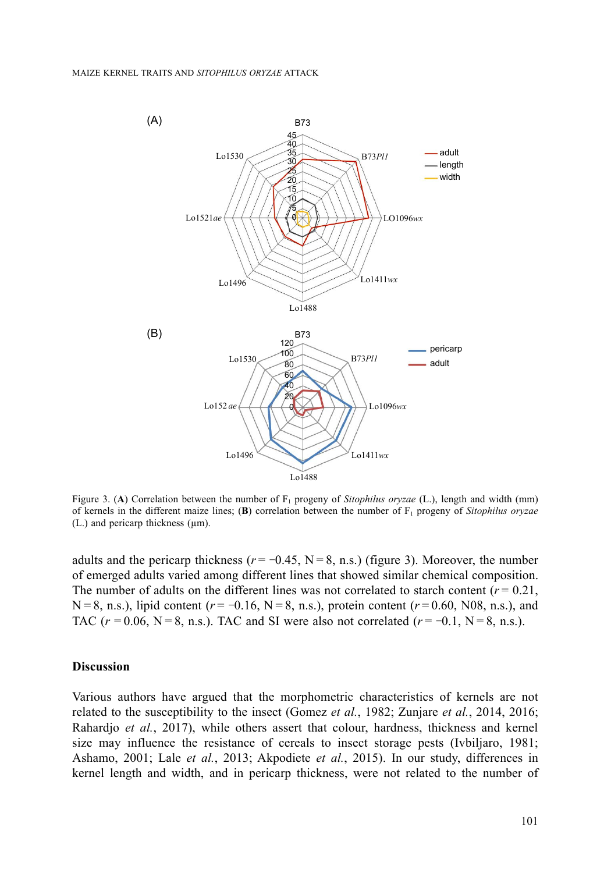

Figure 3. (A) Correlation between the number of F<sub>1</sub> progeny of *Sitophilus oryzae* (L.), length and width (mm) of kernels in the different maize lines; (**B**) correlation between the number of F<sub>1</sub> progeny of *Sitophilus oryzae*  $(L)$  and pericarp thickness  $(\mu m)$ .

adults and the pericarp thickness ( $r = -0.45$ , N = 8, n.s.) (figure 3). Moreover, the number of emerged adults varied among different lines that showed similar chemical composition. The number of adults on the different lines was not correlated to starch content  $(r = 0.21)$ , N = 8, n.s.), lipid content ( $r = 0.16$ , N = 8, n.s.), protein content ( $r = 0.60$ , N08, n.s.), and TAC ( $r = 0.06$ , N = 8, n.s.). TAC and SI were also not correlated ( $r = -0.1$ , N = 8, n.s.).

## **Discussion**

Various authors have argued that the morphometric characteristics of kernels are not related to the susceptibility to the insect (Gomez *et al.*, 1982; Zunjare *et al.*, 2014, 2016; Rahardjo *et al.*, 2017), while others assert that colour, hardness, thickness and kernel size may influence the resistance of cereals to insect storage pests (Ivbiljaro, 1981; Ashamo, 2001; Lale *et al.*, 2013; Akpodiete *et al.*, 2015). In our study, differences in kernel length and width, and in pericarp thickness, were not related to the number of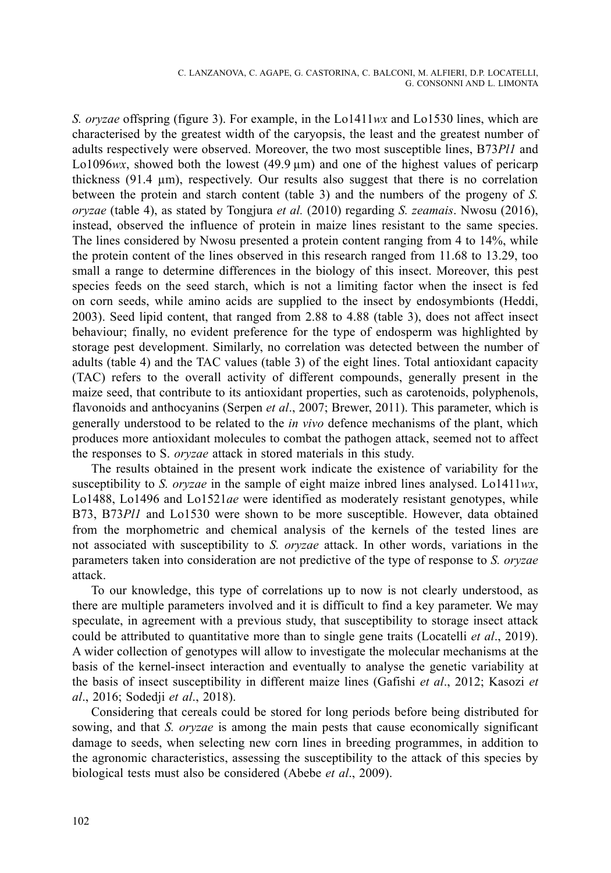*S. oryzae* offspring (figure 3). For example, in the Lo1411*wx* and Lo1530 lines, which are characterised by the greatest width of the caryopsis, the least and the greatest number of adults respectively were observed. Moreover, the two most susceptible lines, B73*Pl1* and Lo1096 $wx$ , showed both the lowest (49.9  $\mu$ m) and one of the highest values of pericarp thickness (91.4 µm), respectively. Our results also suggest that there is no correlation between the protein and starch content (table 3) and the numbers of the progeny of *S. oryzae* (table 4), as stated by Tongjura *et al.* (2010) regarding *S. zeamais*. Nwosu (2016), instead, observed the influence of protein in maize lines resistant to the same species. The lines considered by Nwosu presented a protein content ranging from 4 to 14%, while the protein content of the lines observed in this research ranged from 11.68 to 13.29, too small a range to determine differences in the biology of this insect. Moreover, this pest species feeds on the seed starch, which is not a limiting factor when the insect is fed on corn seeds, while amino acids are supplied to the insect by endosymbionts (Heddi, 2003). Seed lipid content, that ranged from 2.88 to 4.88 (table 3), does not affect insect behaviour; finally, no evident preference for the type of endosperm was highlighted by storage pest development. Similarly, no correlation was detected between the number of adults (table 4) and the TAC values (table 3) of the eight lines. Total antioxidant capacity (TAC) refers to the overall activity of different compounds, generally present in the maize seed, that contribute to its antioxidant properties, such as carotenoids, polyphenols, flavonoids and anthocyanins (Serpen *et al*., 2007; Brewer, 2011). This parameter, which is generally understood to be related to the *in vivo* defence mechanisms of the plant, which produces more antioxidant molecules to combat the pathogen attack, seemed not to affect the responses to S. *oryzae* attack in stored materials in this study.

The results obtained in the present work indicate the existence of variability for the susceptibility to *S. oryzae* in the sample of eight maize inbred lines analysed. Lo1411*wx*, Lo1488, Lo1496 and Lo1521*ae* were identified as moderately resistant genotypes, while B73, B73*Pl1* and Lo1530 were shown to be more susceptible. However, data obtained from the morphometric and chemical analysis of the kernels of the tested lines are not associated with susceptibility to *S. oryzae* attack. In other words, variations in the parameters taken into consideration are not predictive of the type of response to *S. oryzae*  attack.

To our knowledge, this type of correlations up to now is not clearly understood, as there are multiple parameters involved and it is difficult to find a key parameter. We may speculate, in agreement with a previous study, that susceptibility to storage insect attack could be attributed to quantitative more than to single gene traits (Locatelli *et al*., 2019). A wider collection of genotypes will allow to investigate the molecular mechanisms at the basis of the kernel-insect interaction and eventually to analyse the genetic variability at the basis of insect susceptibility in different maize lines (Gafishi *et al*., 2012; Kasozi *et al*., 2016; Sodedji *et al*., 2018).

Considering that cereals could be stored for long periods before being distributed for sowing, and that *S. oryzae* is among the main pests that cause economically significant damage to seeds, when selecting new corn lines in breeding programmes, in addition to the agronomic characteristics, assessing the susceptibility to the attack of this species by biological tests must also be considered (Abebe *et al*., 2009).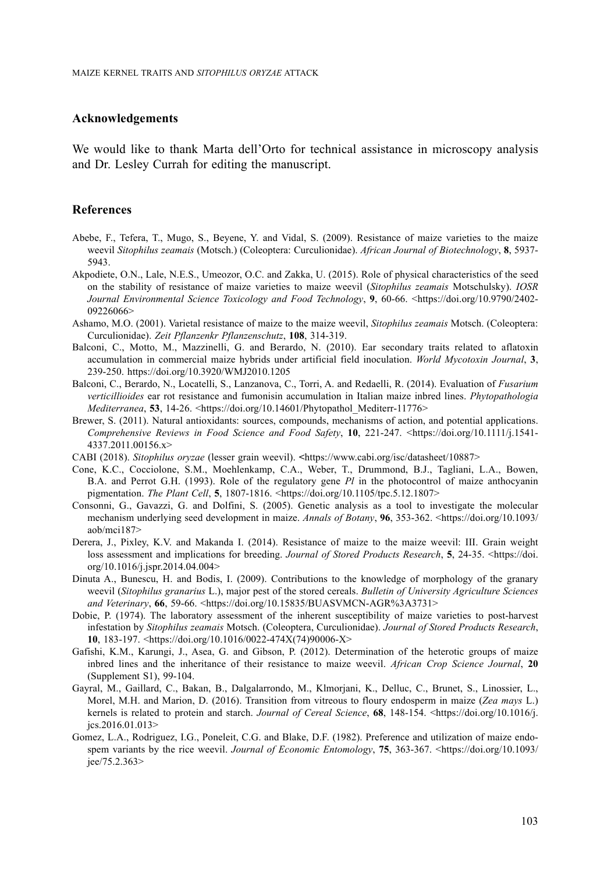#### **Acknowledgements**

We would like to thank Marta dell'Orto for technical assistance in microscopy analysis and Dr. Lesley Currah for editing the manuscript.

## **References**

- Abebe, F., Tefera, T., Mugo, S., Beyene, Y. and Vidal, S. (2009). Resistance of maize varieties to the maize weevil *Sitophilus zeamais* (Motsch.) (Coleoptera: Curculionidae). *African Journal of Biotechnology*, **8**, 5937- 5943.
- Akpodiete, O.N., Lale, N.E.S., Umeozor, O.C. and Zakka, U. (2015). Role of physical characteristics of the seed on the stability of resistance of maize varieties to maize weevil (*Sitophilus zeamais* Motschulsky). *IOSR Journal Environmental Science Toxicology and Food Technology*, **9**, 60-66. [<https://doi.org/10.9790/2402-](https://www.researchgate.net/profile/Odidika-Umeozor/publication/314226148_Diptera_Arthropoda_Insecta_of_Potential_Importance_in_Human_and_Animal_Health_in_Bayelsa_State_Nigeria/links/58f506a9458515ff23b55dbd/Diptera-Arthropoda-Insecta-of-Potential-Importance-in-Human-and-Animal-Health-in-Bayelsa-State-Nigeria.pdf) [09226066](https://www.researchgate.net/profile/Odidika-Umeozor/publication/314226148_Diptera_Arthropoda_Insecta_of_Potential_Importance_in_Human_and_Animal_Health_in_Bayelsa_State_Nigeria/links/58f506a9458515ff23b55dbd/Diptera-Arthropoda-Insecta-of-Potential-Importance-in-Human-and-Animal-Health-in-Bayelsa-State-Nigeria.pdf)>
- Ashamo, M.O. (2001). Varietal resistance of maize to the maize weevil, *Sitophilus zeamais* Motsch. (Coleoptera: Curculionidae). *Zeit Pflanzenkr Pflanzenschutz*, **108**, 314-319.
- Balconi, C., Motto, M., Mazzinelli, G. and Berardo, N. (2010). Ear secondary traits related to aflatoxin accumulation in commercial maize hybrids under artificial field inoculation. *World Mycotoxin Journal*, **3**, 239-250. <https://doi.org/10.3920/WMJ2010.1205>
- Balconi, C., Berardo, N., Locatelli, S., Lanzanova, C., Torri, A. and Redaelli, R. (2014). Evaluation of *Fusarium verticillioides* ear rot resistance and fumonisin accumulation in Italian maize inbred lines. *Phytopathologia Mediterranea*, **53**, 14-26. <[https://doi.org/10.14601/Phytopathol\\_Mediterr-11776](https://doi.org/10.14601/Phytopathol_Mediterr-11776)>
- Brewer, S. (2011). Natural antioxidants: sources, compounds, mechanisms of action, and potential applications. *Comprehensive Reviews in Food Science and Food Safety*, **10**, 221-247. [<https://doi.org/10.1111/j.1541-](https://doi.org/10.1111/j.1541-4337.2011.00156.x) [4337.2011.00156.x](https://doi.org/10.1111/j.1541-4337.2011.00156.x)>
- CABI (2018). *Sitophilus oryzae* (lesser grain weevil). **<**<https://www.cabi.org/isc/datasheet/10887>>
- Cone, K.C., Cocciolone, S.M., Moehlenkamp, C.A., Weber, T., Drummond, B.J., Tagliani, L.A., Bowen, B.A. and Perrot G.H. (1993). Role of the regulatory gene *Pl* in the photocontrol of maize anthocyanin pigmentation. *The Plant Cell*, **5**, 1807-1816. <<https://doi.org/10.1105/tpc.5.12.1807>>
- Consonni, G., Gavazzi, G. and Dolfini, S. (2005). Genetic analysis as a tool to investigate the molecular mechanism underlying seed development in maize. *Annals of Botany*, **96**, 353-362. [<https://doi.org/10.1093/](https://doi.org/10.1093/aob/mci187) [aob/mci187](https://doi.org/10.1093/aob/mci187)>
- Derera, J., Pixley, K.V. and Makanda I. (2014). Resistance of maize to the maize weevil: III. Grain weight loss assessment and implications for breeding. *Journal of Stored Products Research*, **5**, 24-35. <[https://doi.](https://doi.org/10.1016/j.jspr.2014.04.004) [org/10.1016/j.jspr.2014.04.004>](https://doi.org/10.1016/j.jspr.2014.04.004)
- Dinuta A., Bunescu, H. and Bodis, I. (2009). Contributions to the knowledge of morphology of the granary weevil (*Sitophilus granarius* L.), major pest of the stored cereals. *Bulletin of University Agriculture Sciences and Veterinary*, **66**, 59-66. <[https://doi.org/10.15835/BUASVMCN-AGR%3A3731](https://journals.usamvcluj.ro/index.php/agriculture/article/view/3731/3459)>
- Dobie, P. (1974). The laboratory assessment of the inherent susceptibility of maize varieties to post-harvest infestation by *Sitophilus zeamais* Motsch. (Coleoptera, Curculionidae). *Journal of Stored Products Research*, **10**, 183-197. <[https://doi.org/10.1016/0022-474X\(74\)90006-X](https://doi.org/10.1016/0022-474X(74)90006-X)>
- Gafishi, K.M., Karungi, J., Asea, G. and Gibson, P. (2012). Determination of the heterotic groups of maize inbred lines and the inheritance of their resistance to maize weevil. *African Crop Science Journal*, **20** (Supplement S1), 99-104.
- Gayral, M., Gaillard, C., Bakan, B., Dalgalarrondo, M., Klmorjani, K., Delluc, C., Brunet, S., Linossier, L., Morel, M.H. and Marion, D. (2016). Transition from vitreous to floury endosperm in maize (*Zea mays* L.) kernels is related to protein and starch. *Journal of Cereal Science*, **68**, 148-154. <[https://doi.org/10.1016/j.](https://doi.org/10.1016/j.jcs.2016.01.013) [jcs.2016.01.013](https://doi.org/10.1016/j.jcs.2016.01.013)>
- Gomez, L.A., Rodriguez, I.G., Poneleit, C.G. and Blake, D.F. (1982). Preference and utilization of maize endospem variants by the rice weevil. *Journal of Economic Entomology*, **75**, 363-367. [<https://doi.org/10.1093/](https://doi.org/10.1093/jee/75.2.363) [jee/75.2.363](https://doi.org/10.1093/jee/75.2.363)>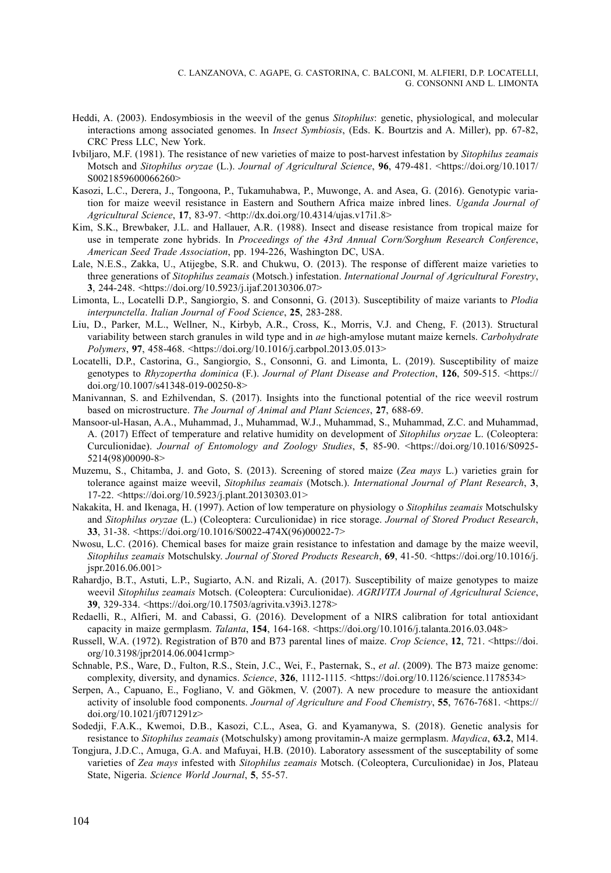- Heddi, A. (2003). Endosymbiosis in the weevil of the genus *Sitophilus*: genetic, physiological, and molecular interactions among associated genomes. In *Insect Symbiosis*, (Eds. K. Bourtzis and A. Miller), pp. 67-82, CRC Press LLC, New York.
- Ivbiljaro, M.F. (1981). The resistance of new varieties of maize to post-harvest infestation by *Sitophilus zeamais* Motsch and *Sitophilus oryzae* (L.). *Journal of Agricultural Science*, **96**, 479-481. [<https://doi.org/10.1017/](https://doi.org/10.1017/S0021859600066260) [S0021859600066260](https://doi.org/10.1017/S0021859600066260)>
- Kasozi, L.C., Derera, J., Tongoona, P., Tukamuhabwa, P., Muwonge, A. and Asea, G. (2016). Genotypic variation for maize weevil resistance in Eastern and Southern Africa maize inbred lines. *Uganda Journal of Agricultural Science*, **17**, 83-97. <<http://dx.doi.org/10.4314/ujas.v17i1.8>>
- Kim, S.K., Brewbaker, J.L. and Hallauer, A.R. (1988). Insect and disease resistance from tropical maize for use in temperate zone hybrids. In *Proceedings of the 43rd Annual Corn/Sorghum Research Conference*, *American Seed Trade Association*, pp. 194-226, Washington DC, USA.
- Lale, N.E.S., Zakka, U., Atijegbe, S.R. and Chukwu, O. (2013). The response of different maize varieties to three generations of *Sitophilus zeamais* (Motsch.) infestation. *International Journal of Agricultural Forestry*, **3**, 244-248. <[https://doi.org/10.5923/j.ijaf.20130306.07>](https://www.researchgate.net/profile/Sylvester-Atijegbe/publication/260341811_The_Response_of_Different_Maize_Varieties_to_Three_Generations_of_Sitophilus_zeamais_Motsch_Infestation/links/0deec530db9258a5aa000000/The-Response-of-Different-Maize-Varieties-to-Three-Generations-of-Sitophilus-zeamais-Motsch-Infestation.pdf)
- Limonta, L., Locatelli D.P., Sangiorgio, S. and Consonni, G. (2013). Susceptibility of maize variants to *Plodia interpunctella*. *Italian Journal of Food Science*, **25**, 283-288.
- Liu, D., Parker, M.L., Wellner, N., Kirbyb, A.R., Cross, K., Morris, V.J. and Cheng, F. (2013). Structural variability between starch granules in wild type and in *ae* high-amylose mutant maize kernels. *Carbohydrate Polymers*, **97**, 458-468. <<https://doi.org/10.1016/j.carbpol.2013.05.013>>
- Locatelli, D.P., Castorina, G., Sangiorgio, S., Consonni, G. and Limonta, L. (2019). Susceptibility of maize genotypes to *Rhyzopertha dominica* (F.). *Journal of Plant Disease and Protection*, **126**, 509-515. [<https://](https://doi.org/10.1007/s41348-019-00250-8) [doi.org/10.1007/s41348-019-00250-8>](https://doi.org/10.1007/s41348-019-00250-8)
- Manivannan, S. and Ezhilvendan, S. (2017). Insights into the functional potential of the rice weevil rostrum based on microstructure. *The Journal of Animal and Plant Sciences*, **27**, 688-69.
- Mansoor-ul-Hasan, A.A., Muhammad, J., Muhammad, W.J., Muhammad, S., Muhammad, Z.C. and Muhammad, A. (2017) Effect of temperature and relative humidity on development of *Sitophilus oryzae* L. (Coleoptera: Curculionidae). *Journal of Entomology and Zoology Studies*, **5**, 85-90. <[https://doi.org/10.1016/S0925-](https://doi.org/10.1016/S0925-5214(98)00090-8) [5214\(98\)00090-8>](https://doi.org/10.1016/S0925-5214(98)00090-8)
- Muzemu, S., Chitamba, J. and Goto, S. (2013). Screening of stored maize (*Zea mays* L.) varieties grain for tolerance against maize weevil, *Sitophilus zeamais* (Motsch.). *International Journal of Plant Research*, **3**, 17-22. <[https://doi.org/10.5923/j.plant.20130303.01](mailto:zhanghaoscience@163.com)>
- Nakakita, H. and Ikenaga, H. (1997). Action of low temperature on physiology o *Sitophilus zeamais* Motschulsky and *Sitophilus oryzae* (L.) (Coleoptera: Curculionidae) in rice storage. *Journal of Stored Product Research*, **33**, 31-38. <[https://doi.org/10.1016/S0022-474X\(96\)00022-7>](https://doi.org/10.1016/S0022-474X(96)00022-7)
- Nwosu, L.C. (2016). Chemical bases for maize grain resistance to infestation and damage by the maize weevil, *Sitophilus zeamais* Motschulsky. *Journal of Stored Products Research*, **69**, 41-50. <[https://doi.org/10.1016/j.](https://doi.org/10.1016/j.jspr.2016.06.001) [jspr.2016.06.001](https://doi.org/10.1016/j.jspr.2016.06.001)>
- Rahardjo, B.T., Astuti, L.P., Sugiarto, A.N. and Rizali, A. (2017). Susceptibility of maize genotypes to maize weevil *Sitophilus zeamais* Motsch. (Coleoptera: Curculionidae). *AGRIVITA Journal of Agricultural Science*, **39**, 329-334. <[https://doi.org/10.17503/agrivita.v39i3.1278>](https://doi.org/10.17503/agrivita.v39i3.1278)
- Redaelli, R., Alfieri, M. and Cabassi, G. (2016). Development of a NIRS calibration for total antioxidant capacity in maize germplasm. *Talanta*, **154**, **164-168**.  $\langle \text{https://doi.org/10.1016/j.talanta.2016.03.048>}$
- Russell, W.A. (1972). Registration of B70 and B73 parental lines of maize. *Crop Science*, **12**, 721. <[https://doi.](https://doi.org/10.3198/jpr2014.06.0041crmp) [org/10.3198/jpr2014.06.0041crmp>](https://doi.org/10.3198/jpr2014.06.0041crmp)
- Schnable, P.S., Ware, D., Fulton, R.S., Stein, J.C., Wei, F., Pasternak, S., *et al*. (2009). The B73 maize genome: complexity, diversity, and dynamics. *Science*, **326**, 1112-1115. <[https://doi.org/10.1126/science.1178534>](https://doi.org/10.1126/science.1178534)
- Serpen, A., Capuano, E., Fogliano, V. and Gökmen, V. (2007). A new procedure to measure the antioxidant activity of insoluble food components. *Journal of Agriculture and Food Chemistry*, **55**, 7676-7681. <[https://](https://doi.org/10.1021/jf071291z) [doi.org/10.1021/jf071291z>](https://doi.org/10.1021/jf071291z)
- Sodedji, F.A.K., Kwemoi, D.B., Kasozi, C.L., Asea, G. and Kyamanywa, S. (2018). Genetic analysis for resistance to *Sitophilus zeamais* (Motschulsky) among provitamin-A maize germplasm. *Maydica*, **63.2**, M14.
- Tongjura, J.D.C., Amuga, G.A. and Mafuyai, H.B. (2010). Laboratory assessment of the susceptability of some varieties of *Zea mays* infested with *Sitophilus zeamais* Motsch. (Coleoptera, Curculionidae) in Jos, Plateau State, Nigeria. *Science World Journal*, **5**, 55-57.